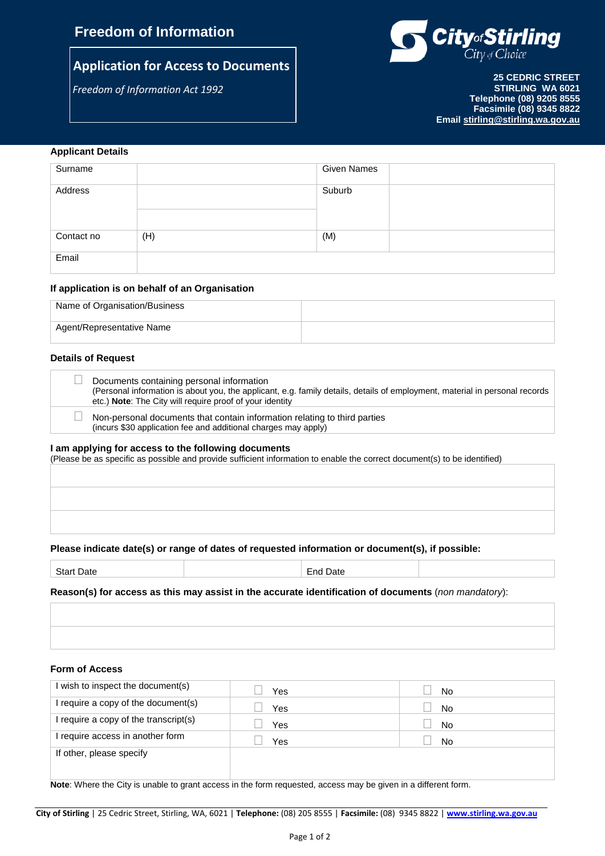# **Freedom of Information**

# **Application for Access to Documents**

*Freedom of Information Act 1992*



**25 CEDRIC STREET STIRLING WA 6021 Telephone (08) 9205 8555 Facsimile (08) 9345 8822 Email [stirling@stirling.wa.gov.au](mailto:stirling@stirling.wa.gov.au)**

### **Applicant Details**

| Surname    |     | <b>Given Names</b> |  |
|------------|-----|--------------------|--|
| Address    |     | Suburb             |  |
| Contact no | (H) | (M)                |  |
| Email      |     |                    |  |

### **If application is on behalf of an Organisation**

| Name of Organisation/Business |  |
|-------------------------------|--|
| Agent/Representative Name     |  |

#### **Details of Request**

| Documents containing personal information<br>(Personal information is about you, the applicant, e.g. family details, details of employment, material in personal records<br>etc.) Note: The City will require proof of your identity |
|--------------------------------------------------------------------------------------------------------------------------------------------------------------------------------------------------------------------------------------|
| Non-personal documents that contain information relating to third parties<br>(incurs \$30 application fee and additional charges may apply)                                                                                          |

#### **I am applying for access to the following documents**

|  |  |  |  |  |  |  |  | (Please be as specific as possible and provide sufficient information to enable the correct document(s) to be identified) |  |
|--|--|--|--|--|--|--|--|---------------------------------------------------------------------------------------------------------------------------|--|
|  |  |  |  |  |  |  |  |                                                                                                                           |  |

## **Please indicate date(s) or range of dates of requested information or document(s), if possible:**

Start Date **End Date** 

**Reason(s) for access as this may assist in the accurate identification of documents** (*non mandatory*):

### **Form of Access**

| wish to inspect the document(s)     | Yes | No        |
|-------------------------------------|-----|-----------|
| require a copy of the document(s)   | Yes | <b>No</b> |
| require a copy of the transcript(s) | Yes | <b>No</b> |
| require access in another form      | Yes | No        |
| If other, please specify            |     |           |
|                                     |     |           |

**Note**: Where the City is unable to grant access in the form requested, access may be given in a different form.